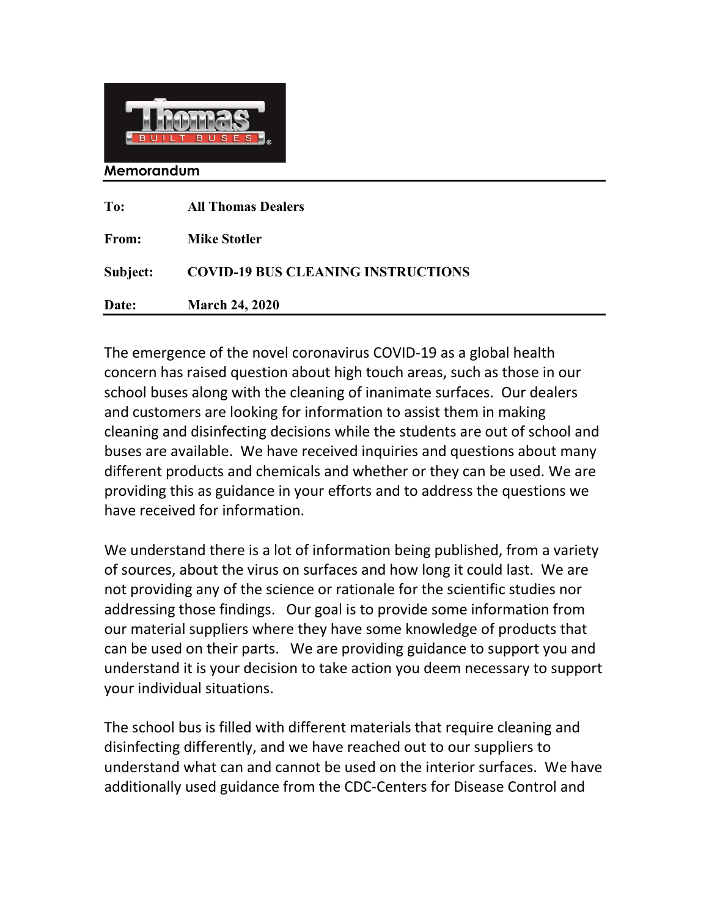

Memorandum

| To:          | <b>All Thomas Dealers</b>                 |
|--------------|-------------------------------------------|
| <b>From:</b> | <b>Mike Stotler</b>                       |
| Subject:     | <b>COVID-19 BUS CLEANING INSTRUCTIONS</b> |
| Date:        | <b>March 24, 2020</b>                     |

 $\parallel$ 

 The emergence of the novel coronavirus COVID-19 as a global health concern has raised question about high touch areas, such as those in our school buses along with the cleaning of inanimate surfaces. Our dealers and customers are looking for information to assist them in making cleaning and disinfecting decisions while the students are out of school and buses are available. We have received inquiries and questions about many different products and chemicals and whether or they can be used. We are providing this as guidance in your efforts and to address the questions we have received for information.

 We understand there is a lot of information being published, from a variety of sources, about the virus on surfaces and how long it could last. We are not providing any of the science or rationale for the scientific studies nor addressing those findings. Our goal is to provide some information from our material suppliers where they have some knowledge of products that can be used on their parts. We are providing guidance to support you and understand it is your decision to take action you deem necessary to support your individual situations.

 The school bus is filled with different materials that require cleaning and disinfecting differently, and we have reached out to our suppliers to understand what can and cannot be used on the interior surfaces. We have additionally used guidance from the CDC-Centers for Disease Control and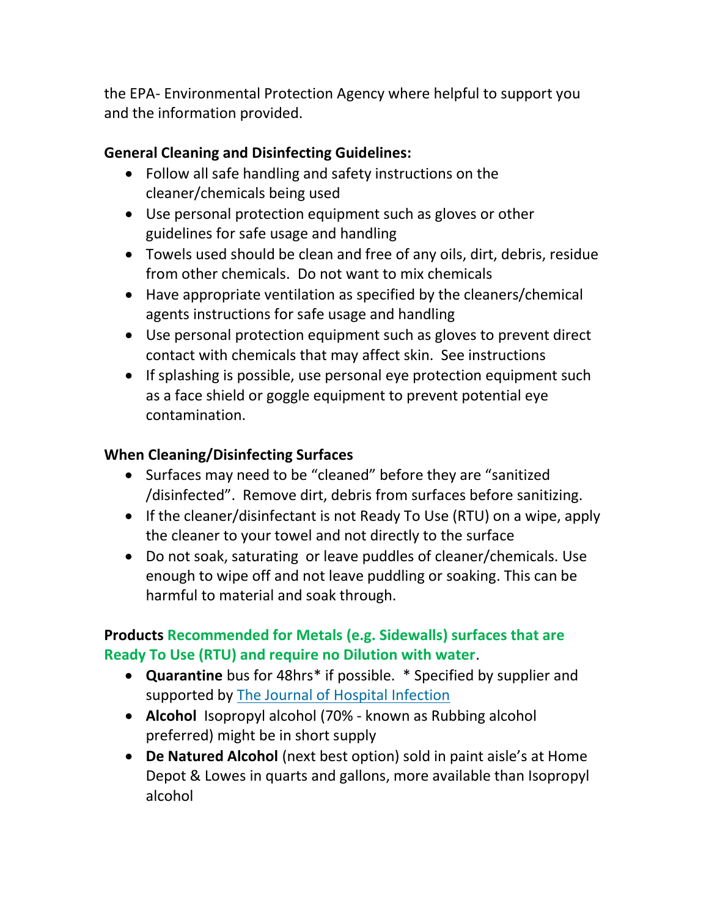the EPA- Environmental Protection Agency where helpful to support you and the information provided.

## General Cleaning and Disinfecting Guidelines:

- Follow all safe handling and safety instructions on the cleaner/chemicals being used
- Use personal protection equipment such as gloves or other guidelines for safe usage and handling
- Towels used should be clean and free of any oils, dirt, debris, residue from other chemicals. Do not want to mix chemicals
- Have appropriate ventilation as specified by the cleaners/chemical agents instructions for safe usage and handling
- Use personal protection equipment such as gloves to prevent direct contact with chemicals that may affect skin. See instructions
- If splashing is possible, use personal eye protection equipment such as a face shield or goggle equipment to prevent potential eye contamination.

## When Cleaning/Disinfecting Surfaces

- Surfaces may need to be "cleaned" before they are "sanitized /disinfected". Remove dirt, debris from surfaces before sanitizing.
- If the cleaner/disinfectant is not Ready To Use (RTU) on a wipe, apply the cleaner to your towel and not directly to the surface
- Do not soak, saturating or leave puddles of cleaner/chemicals. Use enough to wipe off and not leave puddling or soaking. This can be harmful to material and soak through.

## Products Recommended for Metals (e.g. Sidewalls) surfaces that are Ready To Use (RTU) and require no Dilution with water.

- Quarantine bus for 48hrs\* if possible. \* Specified by supplier and supported by The Journal of Hospital Infection
- Alcohol Isopropyl alcohol (70% known as Rubbing alcohol preferred) might be in short supply
- De Natured Alcohol (next best option) sold in paint aisle's at Home Depot & Lowes in quarts and gallons, more available than Isopropyl alcohol